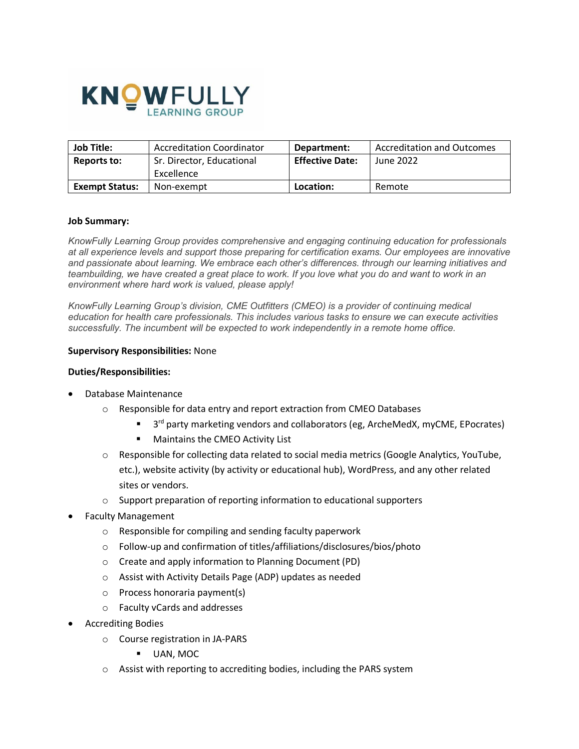

| <b>Job Title:</b>     | <b>Accreditation Coordinator</b> | Department:            | Accreditation and Outcomes |
|-----------------------|----------------------------------|------------------------|----------------------------|
| Reports to:           | Sr. Director, Educational        | <b>Effective Date:</b> | June 2022                  |
|                       | Excellence                       |                        |                            |
| <b>Exempt Status:</b> | Non-exempt                       | Location:              | Remote                     |

#### **Job Summary:**

*KnowFully Learning Group provides comprehensive and engaging continuing education for professionals at all experience levels and support those preparing for certification exams. Our employees are innovative and passionate about learning. We embrace each other's differences. through our learning initiatives and teambuilding, we have created a great place to work. If you love what you do and want to work in an environment where hard work is valued, please apply!* 

*KnowFully Learning Group's division, CME Outfitters (CMEO) is a provider of continuing medical education for health care professionals. This includes various tasks to ensure we can execute activities successfully. The incumbent will be expected to work independently in a remote home office.*

#### **Supervisory Responsibilities:** None

#### **Duties/Responsibilities:**

- Database Maintenance
	- o Responsible for data entry and report extraction from CMEO Databases
		- <sup>3rd</sup> party marketing vendors and collaborators (eg, ArcheMedX, myCME, EPocrates)
		- Maintains the CMEO Activity List
	- $\circ$  Responsible for collecting data related to social media metrics (Google Analytics, YouTube, etc.), website activity (by activity or educational hub), WordPress, and any other related sites or vendors.
	- o Support preparation of reporting information to educational supporters
- Faculty Management
	- o Responsible for compiling and sending faculty paperwork
	- o Follow-up and confirmation of titles/affiliations/disclosures/bios/photo
	- o Create and apply information to Planning Document (PD)
	- o Assist with Activity Details Page (ADP) updates as needed
	- o Process honoraria payment(s)
	- o Faculty vCards and addresses
- Accrediting Bodies
	- o Course registration in JA-PARS
		- UAN, MOC
	- o Assist with reporting to accrediting bodies, including the PARS system